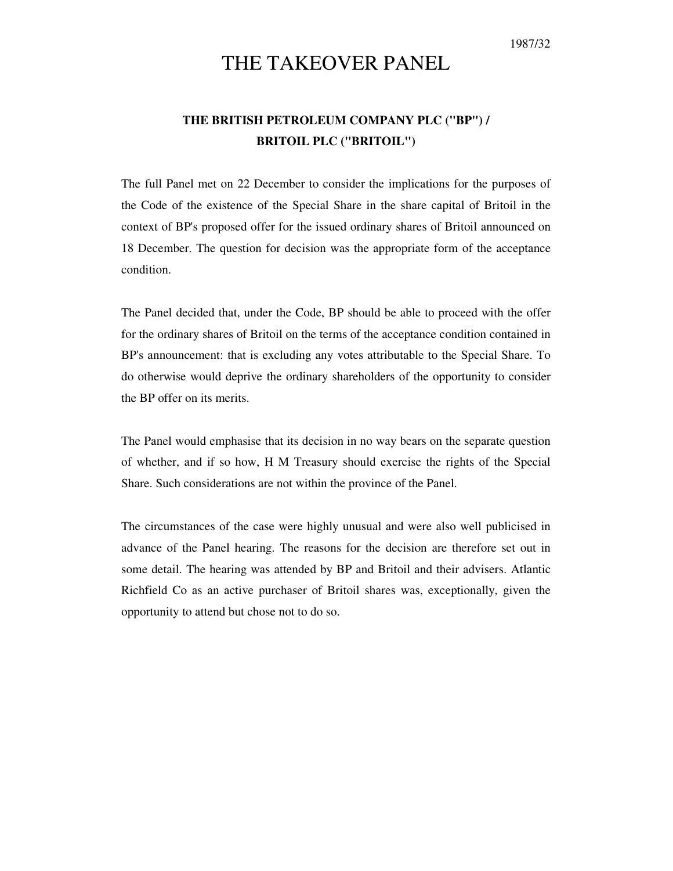1987/32

# THE TAKEOVER PANEL

# **THE BRITISH PETROLEUM COMPANY PLC ("BP") / BRITOIL PLC ("BRITOIL")**

The full Panel met on 22 December to consider the implications for the purposes of the Code of the existence of the Special Share in the share capital of Britoil in the context of BP's proposed offer for the issued ordinary shares of Britoil announced on 18 December. The question for decision was the appropriate form of the acceptance condition.

The Panel decided that, under the Code, BP should be able to proceed with the offer for the ordinary shares of Britoil on the terms of the acceptance condition contained in BP's announcement: that is excluding any votes attributable to the Special Share. To do otherwise would deprive the ordinary shareholders of the opportunity to consider the BP offer on its merits.

The Panel would emphasise that its decision in no way bears on the separate question of whether, and if so how, H M Treasury should exercise the rights of the Special Share. Such considerations are not within the province of the Panel.

The circumstances of the case were highly unusual and were also well publicised in advance of the Panel hearing. The reasons for the decision are therefore set out in some detail. The hearing was attended by BP and Britoil and their advisers. Atlantic Richfield Co as an active purchaser of Britoil shares was, exceptionally, given the opportunity to attend but chose not to do so.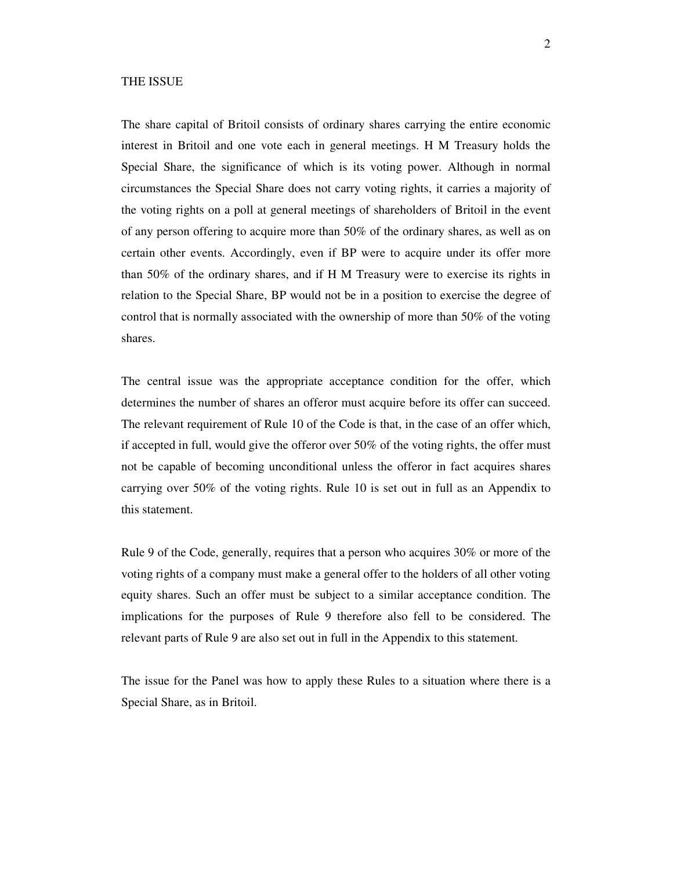#### THE ISSUE

The share capital of Britoil consists of ordinary shares carrying the entire economic interest in Britoil and one vote each in general meetings. H M Treasury holds the Special Share, the significance of which is its voting power. Although in normal circumstances the Special Share does not carry voting rights, it carries a majority of the voting rights on a poll at general meetings of shareholders of Britoil in the event of any person offering to acquire more than 50% of the ordinary shares, as well as on certain other events. Accordingly, even if BP were to acquire under its offer more than 50% of the ordinary shares, and if H M Treasury were to exercise its rights in relation to the Special Share, BP would not be in a position to exercise the degree of control that is normally associated with the ownership of more than 50% of the voting shares.

The central issue was the appropriate acceptance condition for the offer, which determines the number of shares an offeror must acquire before its offer can succeed. The relevant requirement of Rule 10 of the Code is that, in the case of an offer which, if accepted in full, would give the offeror over 50% of the voting rights, the offer must not be capable of becoming unconditional unless the offeror in fact acquires shares carrying over 50% of the voting rights. Rule 10 is set out in full as an Appendix to this statement.

Rule 9 of the Code, generally, requires that a person who acquires 30% or more of the voting rights of a company must make a general offer to the holders of all other voting equity shares. Such an offer must be subject to a similar acceptance condition. The implications for the purposes of Rule 9 therefore also fell to be considered. The relevant parts of Rule 9 are also set out in full in the Appendix to this statement.

The issue for the Panel was how to apply these Rules to a situation where there is a Special Share, as in Britoil.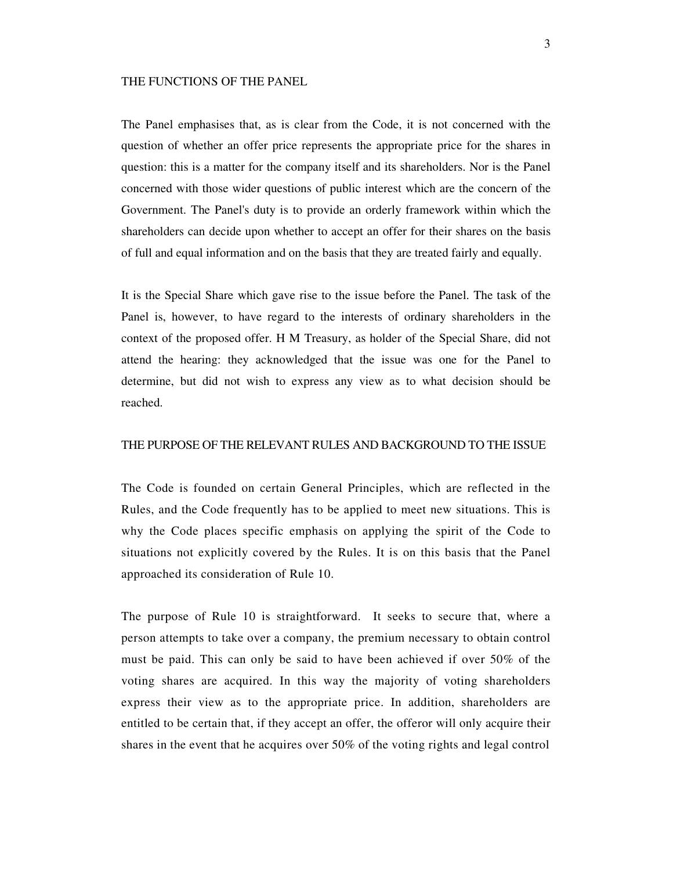#### THE FUNCTIONS OF THE PANEL

The Panel emphasises that, as is clear from the Code, it is not concerned with the question of whether an offer price represents the appropriate price for the shares in question: this is a matter for the company itself and its shareholders. Nor is the Panel concerned with those wider questions of public interest which are the concern of the Government. The Panel's duty is to provide an orderly framework within which the shareholders can decide upon whether to accept an offer for their shares on the basis of full and equal information and on the basis that they are treated fairly and equally.

It is the Special Share which gave rise to the issue before the Panel. The task of the Panel is, however, to have regard to the interests of ordinary shareholders in the context of the proposed offer. H M Treasury, as holder of the Special Share, did not attend the hearing: they acknowledged that the issue was one for the Panel to determine, but did not wish to express any view as to what decision should be reached.

#### THE PURPOSE OF THE RELEVANT RULES AND BACKGROUND TO THE ISSUE

The Code is founded on certain General Principles, which are reflected in the Rules, and the Code frequently has to be applied to meet new situations. This is why the Code places specific emphasis on applying the spirit of the Code to situations not explicitly covered by the Rules. It is on this basis that the Panel approached its consideration of Rule 10.

The purpose of Rule 10 is straightforward. It seeks to secure that, where a person attempts to take over a company, the premium necessary to obtain control must be paid. This can only be said to have been achieved if over 50% of the voting shares are acquired. In this way the majority of voting shareholders express their view as to the appropriate price. In addition, shareholders are entitled to be certain that, if they accept an offer, the offeror will only acquire their shares in the event that he acquires over 50% of the voting rights and legal control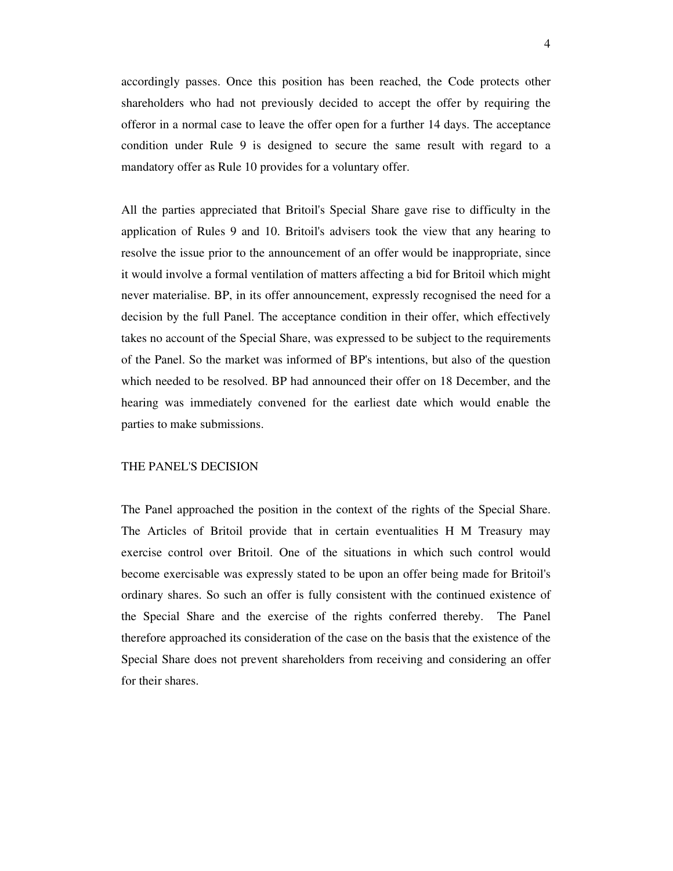accordingly passes. Once this position has been reached, the Code protects other shareholders who had not previously decided to accept the offer by requiring the offeror in a normal case to leave the offer open for a further 14 days. The acceptance condition under Rule 9 is designed to secure the same result with regard to a mandatory offer as Rule 10 provides for a voluntary offer.

All the parties appreciated that Britoil's Special Share gave rise to difficulty in the application of Rules 9 and 10. Britoil's advisers took the view that any hearing to resolve the issue prior to the announcement of an offer would be inappropriate, since it would involve a formal ventilation of matters affecting a bid for Britoil which might never materialise. BP, in its offer announcement, expressly recognised the need for a decision by the full Panel. The acceptance condition in their offer, which effectively takes no account of the Special Share, was expressed to be subject to the requirements of the Panel. So the market was informed of BP's intentions, but also of the question which needed to be resolved. BP had announced their offer on 18 December, and the hearing was immediately convened for the earliest date which would enable the parties to make submissions.

### THE PANEL'S DECISION

The Panel approached the position in the context of the rights of the Special Share. The Articles of Britoil provide that in certain eventualities H M Treasury may exercise control over Britoil. One of the situations in which such control would become exercisable was expressly stated to be upon an offer being made for Britoil's ordinary shares. So such an offer is fully consistent with the continued existence of the Special Share and the exercise of the rights conferred thereby. The Panel therefore approached its consideration of the case on the basis that the existence of the Special Share does not prevent shareholders from receiving and considering an offer for their shares.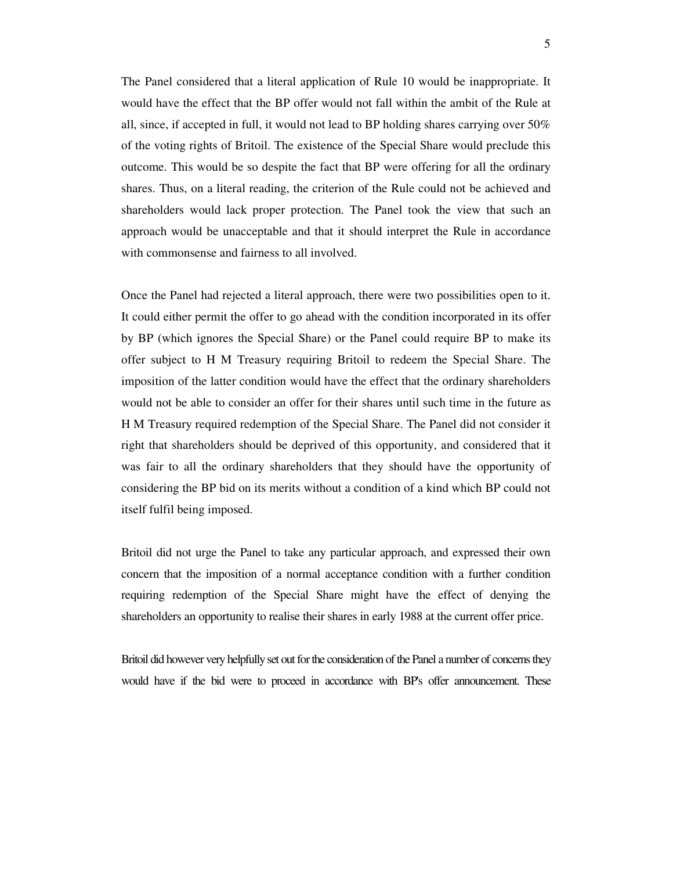The Panel considered that a literal application of Rule 10 would be inappropriate. It would have the effect that the BP offer would not fall within the ambit of the Rule at all, since, if accepted in full, it would not lead to BP holding shares carrying over  $50\%$ of the voting rights of Britoil. The existence of the Special Share would preclude this outcome. This would be so despite the fact that BP were offering for all the ordinary shares. Thus, on a literal reading, the criterion of the Rule could not be achieved and shareholders would lack proper protection. The Panel took the view that such an approach would be unacceptable and that it should interpret the Rule in accordance with commonsense and fairness to all involved.

Once the Panel had rejected a literal approach, there were two possibilities open to it. It could either permit the offer to go ahead with the condition incorporated in its offer by BP (which ignores the Special Share) or the Panel could require BP to make its offer subject to H M Treasury requiring Britoil to redeem the Special Share. The imposition of the latter condition would have the effect that the ordinary shareholders would not be able to consider an offer for their shares until such time in the future as H M Treasury required redemption of the Special Share. The Panel did not consider it right that shareholders should be deprived of this opportunity, and considered that it was fair to all the ordinary shareholders that they should have the opportunity of considering the BP bid on its merits without a condition of a kind which BP could not itself fulfil being imposed.

Britoil did not urge the Panel to take any particular approach, and expressed their own concern that the imposition of a normal acceptance condition with a further condition requiring redemption of the Special Share might have the effect of denying the shareholders an opportunity to realise their shares in early 1988 at the current offer price.

Britoil did however very helpfully set out for the consideration of the Panel a number of concerns they would have if the bid were to proceed in accordance with BP's offer announcement. These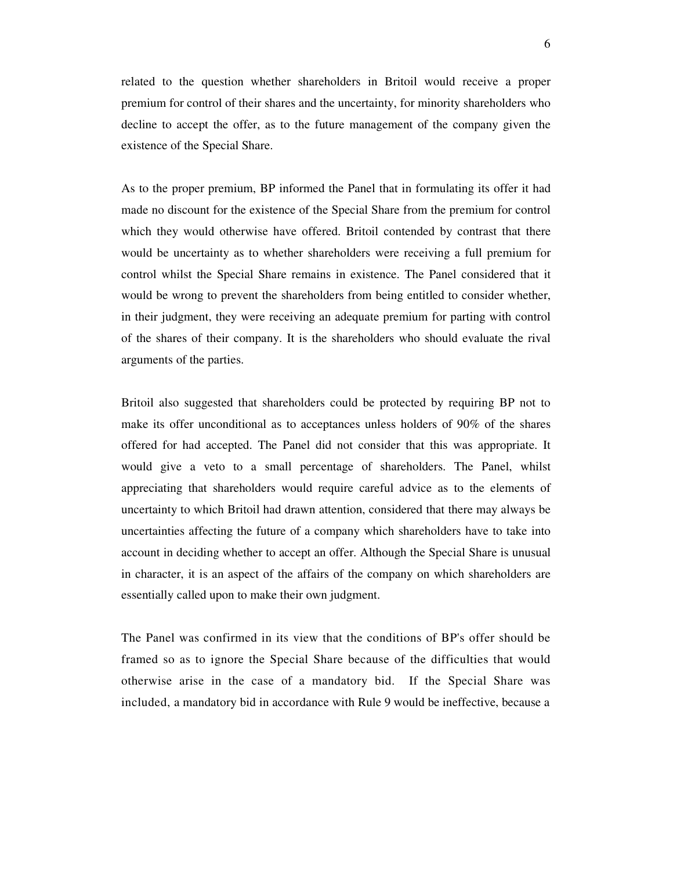related to the question whether shareholders in Britoil would receive a proper premium for control of their shares and the uncertainty, for minority shareholders who decline to accept the offer, as to the future management of the company given the existence of the Special Share.

As to the proper premium, BP informed the Panel that in formulating its offer it had made no discount for the existence of the Special Share from the premium for control which they would otherwise have offered. Britoil contended by contrast that there would be uncertainty as to whether shareholders were receiving a full premium for control whilst the Special Share remains in existence. The Panel considered that it would be wrong to prevent the shareholders from being entitled to consider whether, in their judgment, they were receiving an adequate premium for parting with control of the shares of their company. It is the shareholders who should evaluate the rival arguments of the parties.

Britoil also suggested that shareholders could be protected by requiring BP not to make its offer unconditional as to acceptances unless holders of 90% of the shares offered for had accepted. The Panel did not consider that this was appropriate. It would give a veto to a small percentage of shareholders. The Panel, whilst appreciating that shareholders would require careful advice as to the elements of uncertainty to which Britoil had drawn attention, considered that there may always be uncertainties affecting the future of a company which shareholders have to take into account in deciding whether to accept an offer. Although the Special Share is unusual in character, it is an aspect of the affairs of the company on which shareholders are essentially called upon to make their own judgment.

The Panel was confirmed in its view that the conditions of BP's offer should be framed so as to ignore the Special Share because of the difficulties that would otherwise arise in the case of a mandatory bid. If the Special Share was included, a mandatory bid in accordance with Rule 9 would be ineffective, because a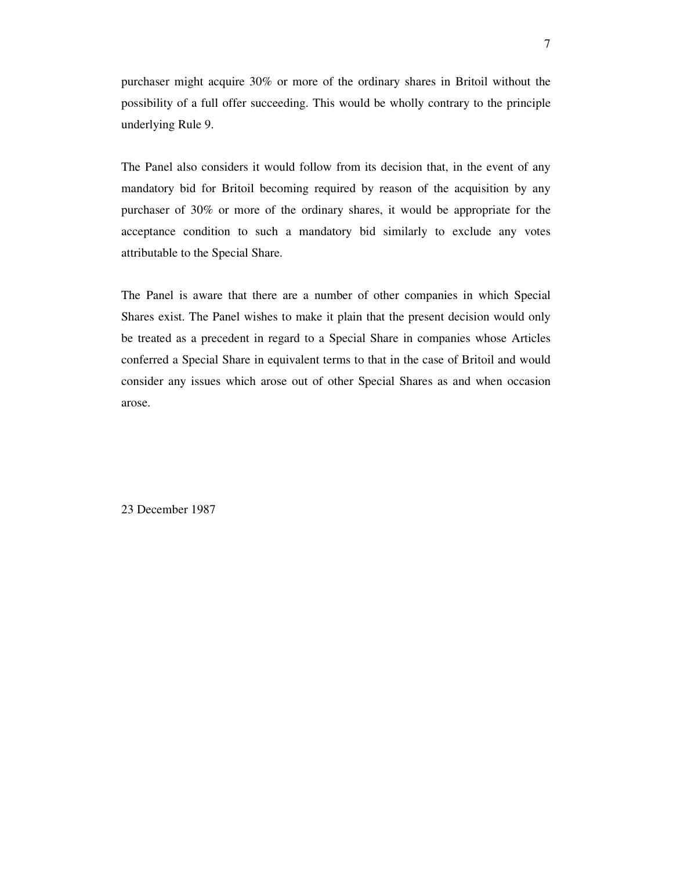purchaser might acquire 30% or more of the ordinary shares in Britoil without the possibility of a full offer succeeding. This would be wholly contrary to the principle underlying Rule 9.

The Panel also considers it would follow from its decision that, in the event of any mandatory bid for Britoil becoming required by reason of the acquisition by any purchaser of 30% or more of the ordinary shares, it would be appropriate for the acceptance condition to such a mandatory bid similarly to exclude any votes attributable to the Special Share.

The Panel is aware that there are a number of other companies in which Special Shares exist. The Panel wishes to make it plain that the present decision would only be treated as a precedent in regard to a Special Share in companies whose Articles conferred a Special Share in equivalent terms to that in the case of Britoil and would consider any issues which arose out of other Special Shares as and when occasion arose.

23 December 1987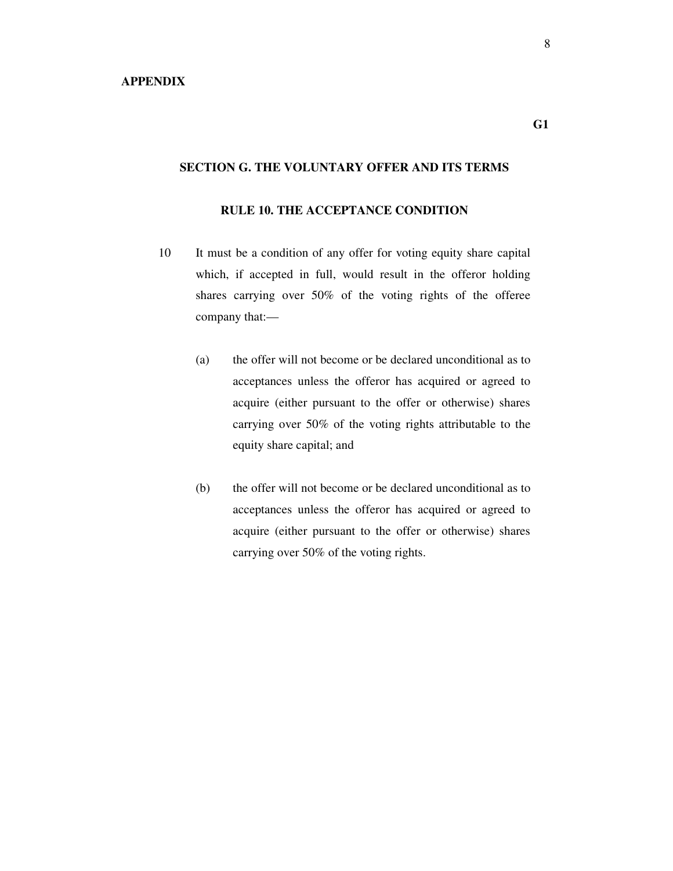## **SECTION G. THE VOLUNTARY OFFER AND ITS TERMS**

### **RULE 10. THE ACCEPTANCE CONDITION**

- 10 It must be a condition of any offer for voting equity share capital which, if accepted in full, would result in the offeror holding shares carrying over 50% of the voting rights of the offeree company that:—
	- (a) the offer will not become or be declared unconditional as to acceptances unless the offeror has acquired or agreed to acquire (either pursuant to the offer or otherwise) shares carrying over 50% of the voting rights attributable to the equity share capital; and
	- (b) the offer will not become or be declared unconditional as to acceptances unless the offeror has acquired or agreed to acquire (either pursuant to the offer or otherwise) shares carrying over 50% of the voting rights.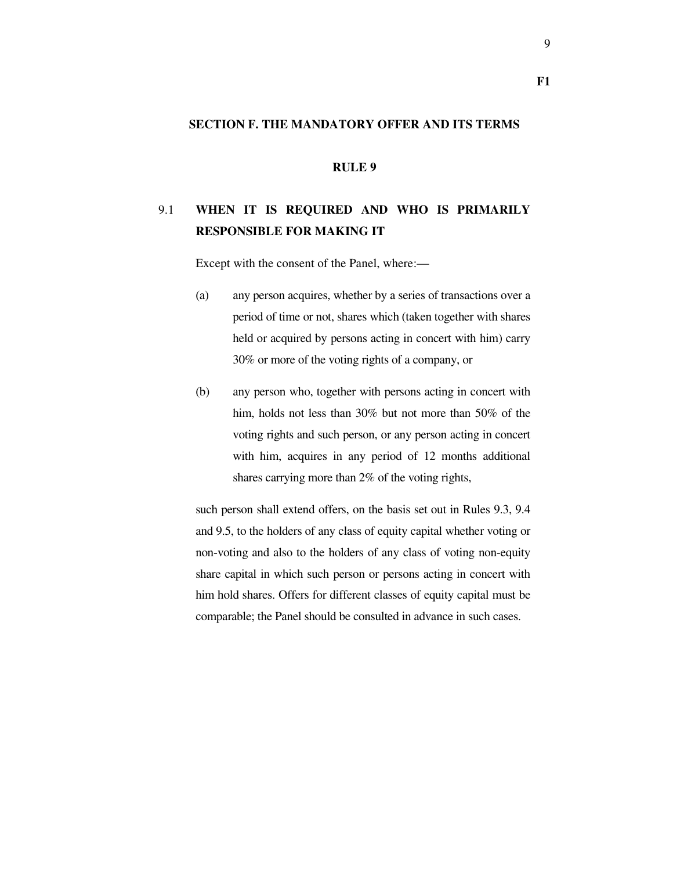#### **SECTION F. THE MANDATORY OFFER AND ITS TERMS**

## **RULE 9**

# 9.1 **WHEN IT IS REQUIRED AND WHO IS PRIMARILY RESPONSIBLE FOR MAKING IT**

Except with the consent of the Panel, where:—

- (a) any person acquires, whether by a series of transactions over a period of time or not, shares which (taken together with shares held or acquired by persons acting in concert with him) carry 30% or more of the voting rights of a company, or
- (b) any person who, together with persons acting in concert with him, holds not less than 30% but not more than 50% of the voting rights and such person, or any person acting in concert with him, acquires in any period of 12 months additional shares carrying more than 2% of the voting rights,

such person shall extend offers, on the basis set out in Rules 9.3, 9.4 and 9.5, to the holders of any class of equity capital whether voting or non-voting and also to the holders of any class of voting non-equity share capital in which such person or persons acting in concert with him hold shares. Offers for different classes of equity capital must be comparable; the Panel should be consulted in advance in such cases.

**F1**